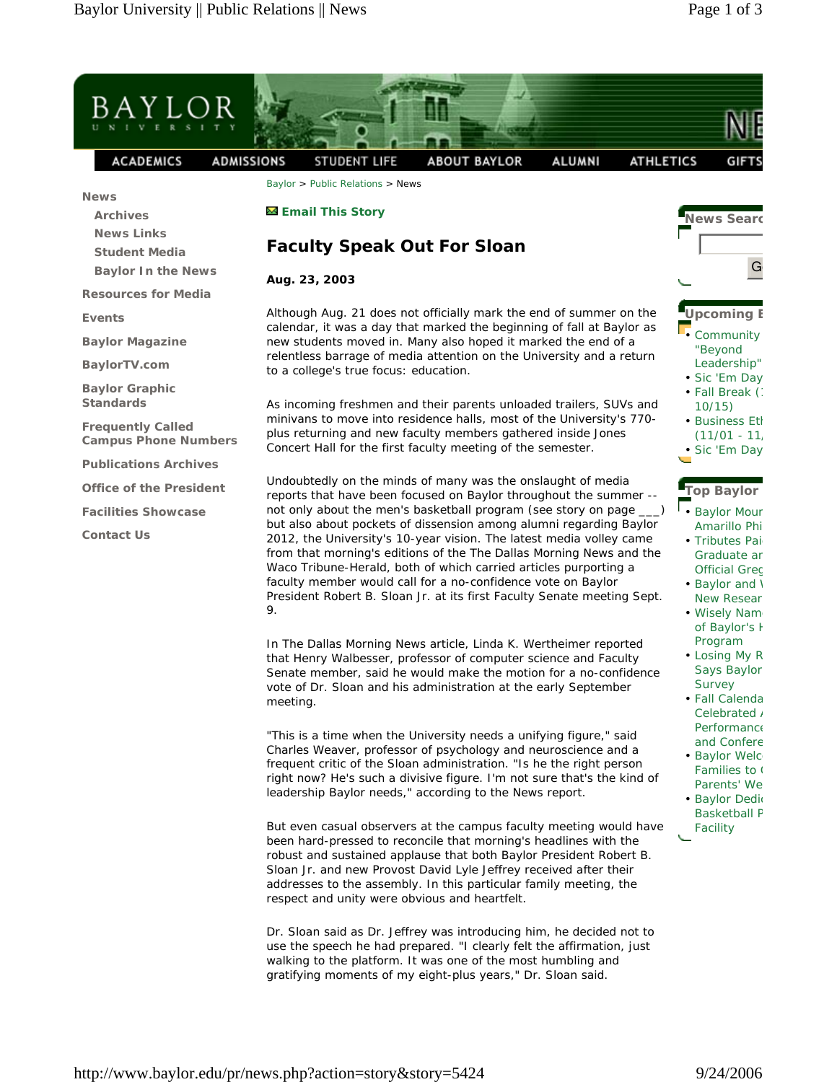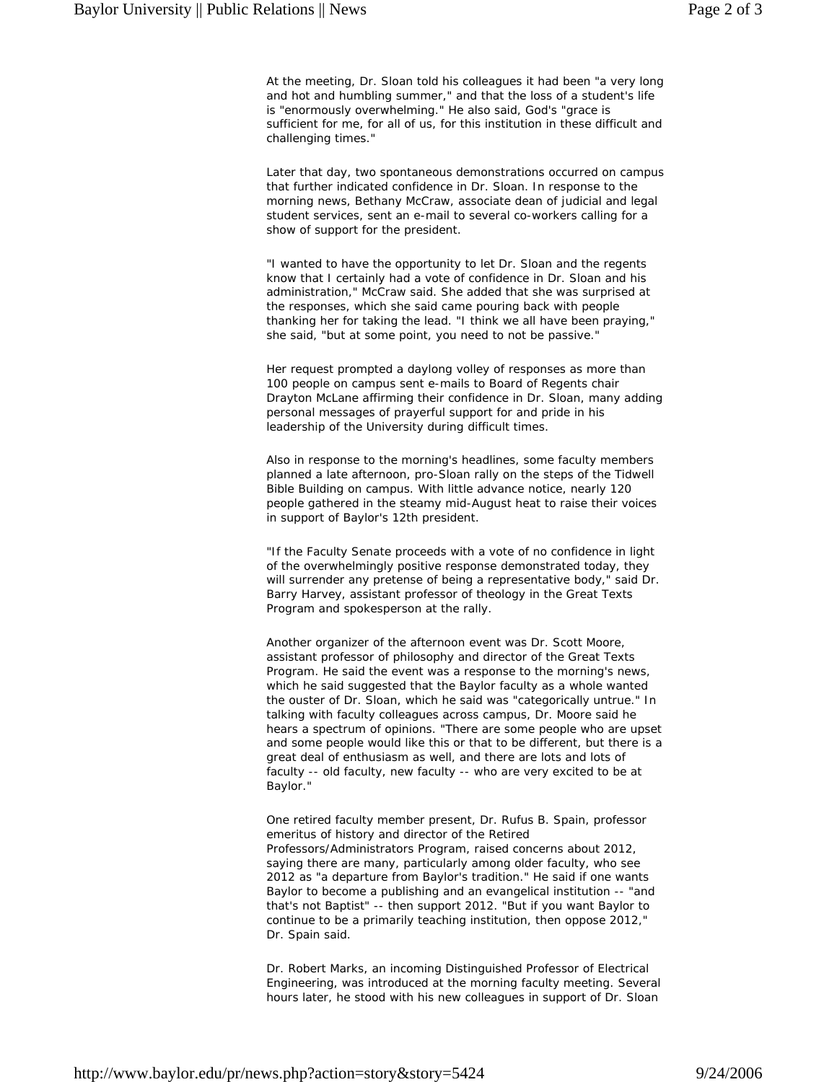At the meeting, Dr. Sloan told his colleagues it had been "a very long and hot and humbling summer," and that the loss of a student's life is "enormously overwhelming." He also said, God's "grace is sufficient for me, for all of us, for this institution in these difficult and challenging times."

Later that day, two spontaneous demonstrations occurred on campus that further indicated confidence in Dr. Sloan. In response to the morning news, Bethany McCraw, associate dean of judicial and legal student services, sent an e-mail to several co-workers calling for a show of support for the president.

"I wanted to have the opportunity to let Dr. Sloan and the regents know that I certainly had a vote of confidence in Dr. Sloan and his administration," McCraw said. She added that she was surprised at the responses, which she said came pouring back with people thanking her for taking the lead. "I think we all have been praying," she said, "but at some point, you need to not be passive."

Her request prompted a daylong volley of responses as more than 100 people on campus sent e-mails to Board of Regents chair Drayton McLane affirming their confidence in Dr. Sloan, many adding personal messages of prayerful support for and pride in his leadership of the University during difficult times.

Also in response to the morning's headlines, some faculty members planned a late afternoon, pro-Sloan rally on the steps of the Tidwell Bible Building on campus. With little advance notice, nearly 120 people gathered in the steamy mid-August heat to raise their voices in support of Baylor's 12th president.

"If the Faculty Senate proceeds with a vote of no confidence in light of the overwhelmingly positive response demonstrated today, they will surrender any pretense of being a representative body," said Dr. Barry Harvey, assistant professor of theology in the Great Texts Program and spokesperson at the rally.

Another organizer of the afternoon event was Dr. Scott Moore, assistant professor of philosophy and director of the Great Texts Program. He said the event was a response to the morning's news, which he said suggested that the Baylor faculty as a whole wanted the ouster of Dr. Sloan, which he said was "categorically untrue." In talking with faculty colleagues across campus, Dr. Moore said he hears a spectrum of opinions. "There are some people who are upset and some people would like this or that to be different, but there is a great deal of enthusiasm as well, and there are lots and lots of faculty -- old faculty, new faculty -- who are very excited to be at Baylor."

One retired faculty member present, Dr. Rufus B. Spain, professor emeritus of history and director of the Retired Professors/Administrators Program, raised concerns about 2012, saying there are many, particularly among older faculty, who see 2012 as "a departure from Baylor's tradition." He said if one wants Baylor to become a publishing and an evangelical institution -- "and that's not Baptist" -- then support 2012. "But if you want Baylor to continue to be a primarily teaching institution, then oppose 2012," Dr. Spain said.

Dr. Robert Marks, an incoming Distinguished Professor of Electrical Engineering, was introduced at the morning faculty meeting. Several hours later, he stood with his new colleagues in support of Dr. Sloan